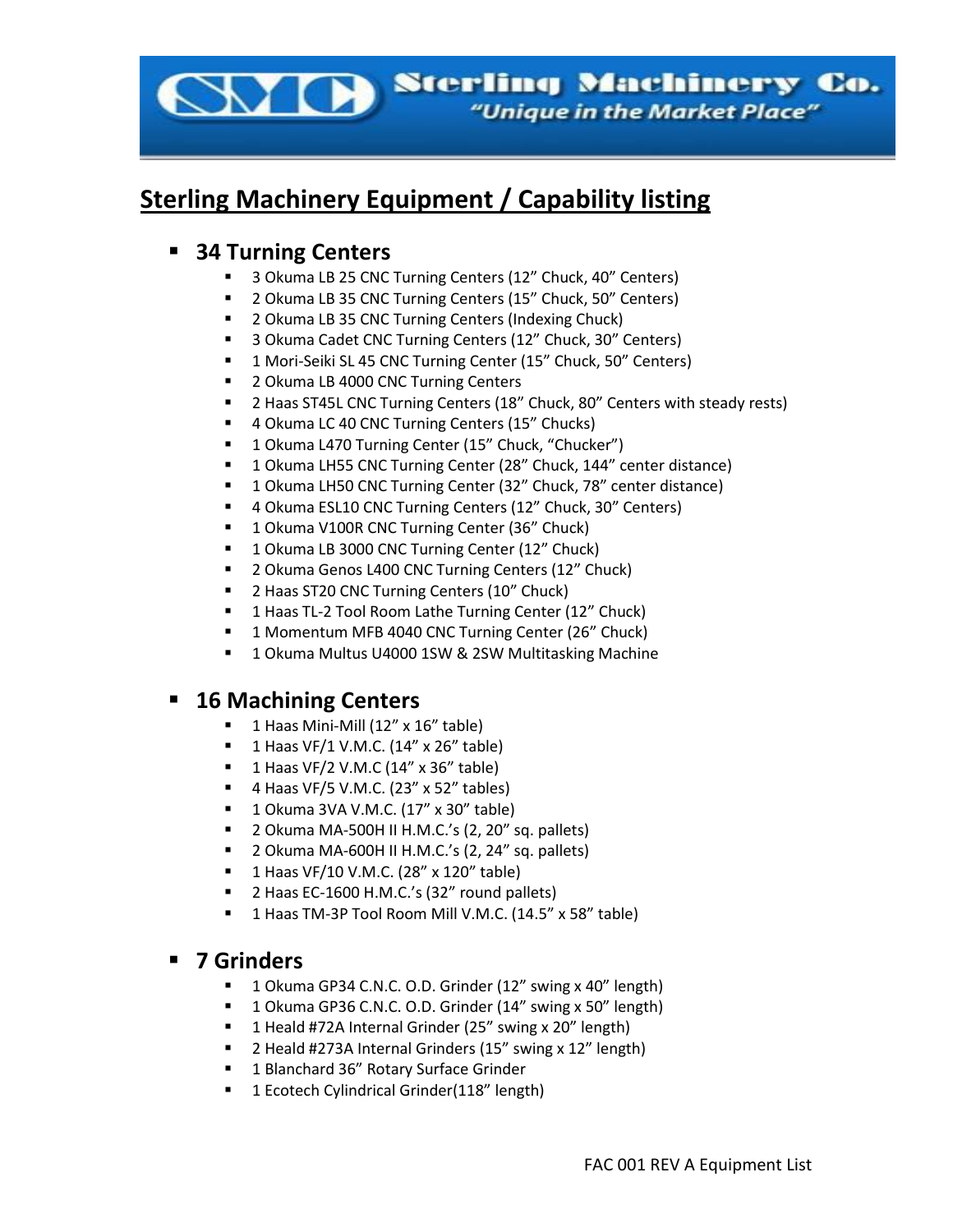

# **Sterling Machinery Equipment / Capability listing**

#### ▪ **34 Turning Centers**

- 3 Okuma LB 25 CNC Turning Centers (12" Chuck, 40" Centers)
- 2 Okuma LB 35 CNC Turning Centers (15" Chuck, 50" Centers)
- 2 Okuma LB 35 CNC Turning Centers (Indexing Chuck)
- 3 Okuma Cadet CNC Turning Centers (12" Chuck, 30" Centers)
- 1 Mori-Seiki SL 45 CNC Turning Center (15" Chuck, 50" Centers)
- 2 Okuma LB 4000 CNC Turning Centers
- 2 Haas ST45L CNC Turning Centers (18" Chuck, 80" Centers with steady rests)
- 4 Okuma LC 40 CNC Turning Centers (15" Chucks)
- 1 Okuma L470 Turning Center (15" Chuck, "Chucker")
- 1 Okuma LH55 CNC Turning Center (28" Chuck, 144" center distance)
- 1 Okuma LH50 CNC Turning Center (32" Chuck, 78" center distance)
- 4 Okuma ESL10 CNC Turning Centers (12" Chuck, 30" Centers)
- 1 Okuma V100R CNC Turning Center (36" Chuck)
- 1 Okuma LB 3000 CNC Turning Center (12" Chuck)
- 2 Okuma Genos L400 CNC Turning Centers (12" Chuck)
- 2 Haas ST20 CNC Turning Centers (10" Chuck)
- 1 Haas TL-2 Tool Room Lathe Turning Center (12" Chuck)
- 1 Momentum MFB 4040 CNC Turning Center (26" Chuck)
- 1 Okuma Multus U4000 1SW & 2SW Multitasking Machine

## **16 Machining Centers**

- 1 Haas Mini-Mill (12" x 16" table)
- 1 Haas VF/1 V.M.C.  $(14" \times 26"$  table)
- $\blacksquare$  1 Haas VF/2 V.M.C (14" x 36" table)
- $\blacksquare$  4 Haas VF/5 V.M.C. (23" x 52" tables)
- 1 Okuma 3VA V.M.C. (17" x 30" table)
- 2 Okuma MA-500H II H.M.C.'s (2, 20" sq. pallets)
- 2 Okuma MA-600H II H.M.C.'s  $(2, 24$ " sq. pallets)
- 1 Haas VF/10 V.M.C. (28" x 120" table)
- 2 Haas EC-1600 H.M.C.'s (32" round pallets)
- 1 Haas TM-3P Tool Room Mill V.M.C. (14.5" x 58" table)

#### ▪ **7 Grinders**

- 1 Okuma GP34 C.N.C. O.D. Grinder (12" swing x 40" length)
- 1 Okuma GP36 C.N.C. O.D. Grinder (14" swing x 50" length)
- 1 Heald #72A Internal Grinder (25" swing x 20" length)
- 2 Heald #273A Internal Grinders (15" swing x 12" length)
- 1 Blanchard 36" Rotary Surface Grinder
- 1 Ecotech Cylindrical Grinder(118" length)